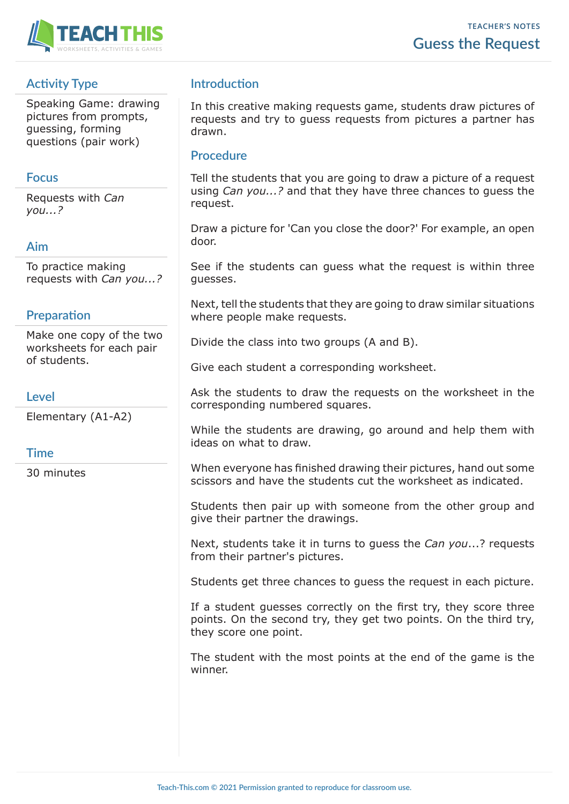

# **Activity Type**

Speaking Game: drawing pictures from prompts, guessing, forming questions (pair work)

## **Focus**

Requests with *Can you...?*

## **Aim**

To practice making requests with *Can you...?*

## **Preparation**

Make one copy of the two worksheets for each pair of students.

### **Level**

Elementary (A1-A2)

### **Time**

30 minutes

## **Introduction**

In this creative making requests game, students draw pictures of requests and try to guess requests from pictures a partner has drawn.

### **Procedure**

Tell the students that you are going to draw a picture of a request using *Can you...?* and that they have three chances to guess the request.

Draw a picture for 'Can you close the door?' For example, an open door.

See if the students can guess what the request is within three guesses.

Next, tell the students that they are going to draw similar situations where people make requests.

Divide the class into two groups (A and B).

Give each student a corresponding worksheet.

Ask the students to draw the requests on the worksheet in the corresponding numbered squares.

While the students are drawing, go around and help them with ideas on what to draw.

When everyone has finished drawing their pictures, hand out some scissors and have the students cut the worksheet as indicated.

Students then pair up with someone from the other group and give their partner the drawings.

Next, students take it in turns to guess the *Can you*...? requests from their partner's pictures.

Students get three chances to guess the request in each picture.

If a student guesses correctly on the first try, they score three points. On the second try, they get two points. On the third try, they score one point.

The student with the most points at the end of the game is the winner.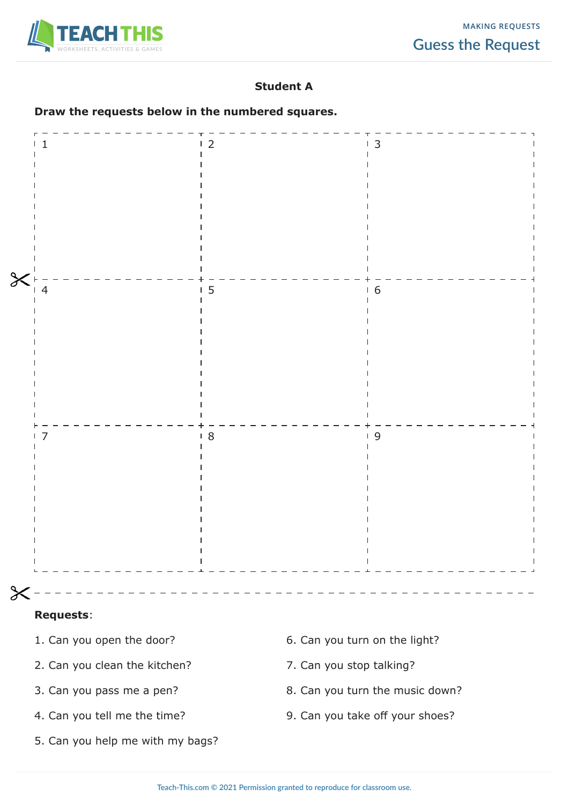

## **Student A**

#### **Draw the requests below in the numbered squares.**

|        |               | 12                 | $\overline{3}$ |  |
|--------|---------------|--------------------|----------------|--|
|        |               |                    |                |  |
|        |               |                    |                |  |
|        |               |                    |                |  |
|        |               |                    |                |  |
|        |               |                    |                |  |
|        |               |                    |                |  |
|        |               |                    |                |  |
| $\chi$ |               |                    |                |  |
|        | $\frac{1}{4}$ | 15                 | 16             |  |
|        |               |                    |                |  |
|        |               |                    |                |  |
|        |               |                    |                |  |
|        |               |                    |                |  |
|        |               |                    |                |  |
|        |               |                    |                |  |
|        |               |                    |                |  |
|        |               |                    |                |  |
|        |               | 18<br>$\mathbf{I}$ | 19             |  |
|        |               |                    |                |  |
|        |               |                    |                |  |
|        |               |                    |                |  |
|        |               |                    |                |  |
|        |               |                    |                |  |
|        |               |                    |                |  |
|        |               |                    |                |  |
|        |               |                    |                |  |
| $\chi$ | $\mathbf{r}$  |                    |                |  |

#### **Requests**:

- 
- 2. Can you clean the kitchen? 7. Can you stop talking?
- 
- 
- 5. Can you help me with my bags?
- 1. Can you open the door? 6. Can you turn on the light?
	-
- 3. Can you pass me a pen? 8. Can you turn the music down?
- 4. Can you tell me the time? 9. Can you take off your shoes?